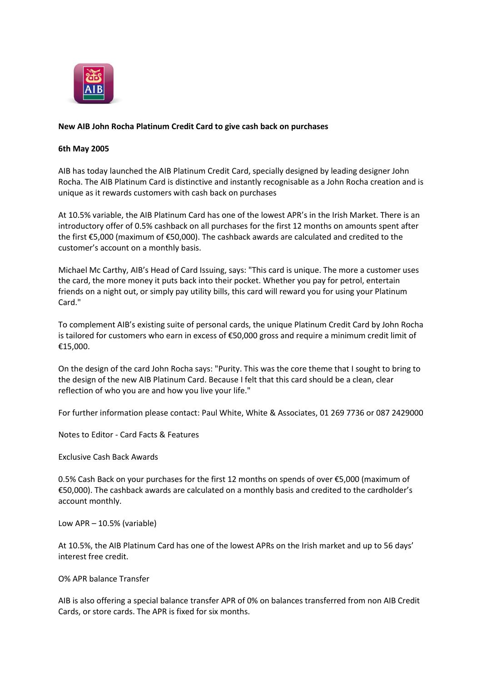

## **New AIB John Rocha Platinum Credit Card to give cash back on purchases**

## **6th May 2005**

AIB has today launched the AIB Platinum Credit Card, specially designed by leading designer John Rocha. The AIB Platinum Card is distinctive and instantly recognisable as a John Rocha creation and is unique as it rewards customers with cash back on purchases

At 10.5% variable, the AIB Platinum Card has one of the lowest APR's in the Irish Market. There is an introductory offer of 0.5% cashback on all purchases for the first 12 months on amounts spent after the first €5,000 (maximum of €50,000). The cashback awards are calculated and credited to the customer's account on a monthly basis.

Michael Mc Carthy, AIB's Head of Card Issuing, says: "This card is unique. The more a customer uses the card, the more money it puts back into their pocket. Whether you pay for petrol, entertain friends on a night out, or simply pay utility bills, this card will reward you for using your Platinum Card."

To complement AIB's existing suite of personal cards, the unique Platinum Credit Card by John Rocha is tailored for customers who earn in excess of €50,000 gross and require a minimum credit limit of €15,000.

On the design of the card John Rocha says: "Purity. This was the core theme that I sought to bring to the design of the new AIB Platinum Card. Because I felt that this card should be a clean, clear reflection of who you are and how you live your life."

For further information please contact: Paul White, White & Associates, 01 269 7736 or 087 2429000

Notes to Editor - Card Facts & Features

Exclusive Cash Back Awards

0.5% Cash Back on your purchases for the first 12 months on spends of over €5,000 (maximum of €50,000). The cashback awards are calculated on a monthly basis and credited to the cardholder's account monthly.

Low APR – 10.5% (variable)

At 10.5%, the AIB Platinum Card has one of the lowest APRs on the Irish market and up to 56 days' interest free credit.

O% APR balance Transfer

AIB is also offering a special balance transfer APR of 0% on balances transferred from non AIB Credit Cards, or store cards. The APR is fixed for six months.